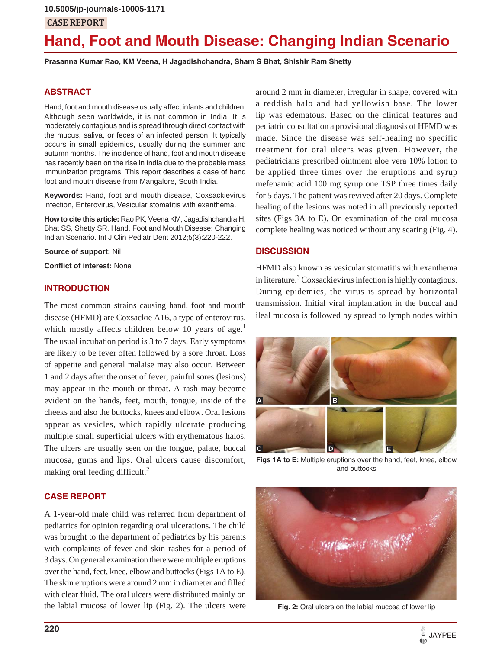# **CASE REPORT**

# **Hand, Foot and Mouth Disease: Changing Indian Scenario**

**Prasanna Kumar Rao, KM Veena, H Jagadishchandra, Sham S Bhat, Shishir Ram Shetty**

#### **ABSTRACT**

Hand, foot and mouth disease usually affect infants and children. Although seen worldwide, it is not common in India. It is moderately contagious and is spread through direct contact with the mucus, saliva, or feces of an infected person. It typically occurs in small epidemics, usually during the summer and autumn months. The incidence of hand, foot and mouth disease has recently been on the rise in India due to the probable mass immunization programs. This report describes a case of hand foot and mouth disease from Mangalore, South India.

**Keywords:** Hand, foot and mouth disease, Coxsackievirus infection, Enterovirus, Vesicular stomatitis with exanthema.

**How to cite this article:** Rao PK, Veena KM, Jagadishchandra H, Bhat SS, Shetty SR. Hand, Foot and Mouth Disease: Changing Indian Scenario. Int J Clin Pediatr Dent 2012;5(3):220-222.

**Source of support:** Nil

**Conflict of interest:** None

#### **INTRODUCTION**

The most common strains causing hand, foot and mouth disease (HFMD) are Coxsackie A16, a type of enterovirus, which mostly affects children below 10 years of age.<sup>1</sup> The usual incubation period is 3 to 7 days. Early symptoms are likely to be fever often followed by a sore throat. Loss of appetite and general malaise may also occur. Between 1 and 2 days after the onset of fever, painful sores (lesions) may appear in the mouth or throat. A rash may become evident on the hands, feet, mouth, tongue, inside of the cheeks and also the buttocks, knees and elbow. Oral lesions appear as vesicles, which rapidly ulcerate producing multiple small superficial ulcers with erythematous halos. The ulcers are usually seen on the tongue, palate, buccal mucosa, gums and lips. Oral ulcers cause discomfort, making oral feeding difficult.<sup>2</sup>

## around 2 mm in diameter, irregular in shape, covered with a reddish halo and had yellowish base. The lower lip was edematous. Based on the clinical features and pediatric consultation a provisional diagnosis of HFMD was made. Since the disease was self-healing no specific treatment for oral ulcers was given. However, the pediatricians prescribed ointment aloe vera 10% lotion to be applied three times over the eruptions and syrup mefenamic acid 100 mg syrup one TSP three times daily for 5 days. The patient was revived after 20 days. Complete healing of the lesions was noted in all previously reported sites (Figs 3A to E). On examination of the oral mucosa complete healing was noticed without any scaring (Fig. 4).

#### **DISCUSSION**

HFMD also known as vesicular stomatitis with exanthema in literature.<sup>3</sup> Coxsackievirus infection is highly contagious. During epidemics, the virus is spread by horizontal transmission. Initial viral implantation in the buccal and ileal mucosa is followed by spread to lymph nodes within



**Figs 1A to E:** Multiple eruptions over the hand, feet, knee, elbow and buttocks

#### **CASE REPORT**

A 1-year-old male child was referred from department of pediatrics for opinion regarding oral ulcerations. The child was brought to the department of pediatrics by his parents with complaints of fever and skin rashes for a period of 3 days. On general examination there were multiple eruptions over the hand, feet, knee, elbow and buttocks (Figs 1A to E). The skin eruptions were around 2 mm in diameter and filled with clear fluid. The oral ulcers were distributed mainly on the labial mucosa of lower lip (Fig. 2). The ulcers were



**Fig. 2:** Oral ulcers on the labial mucosa of lower lip

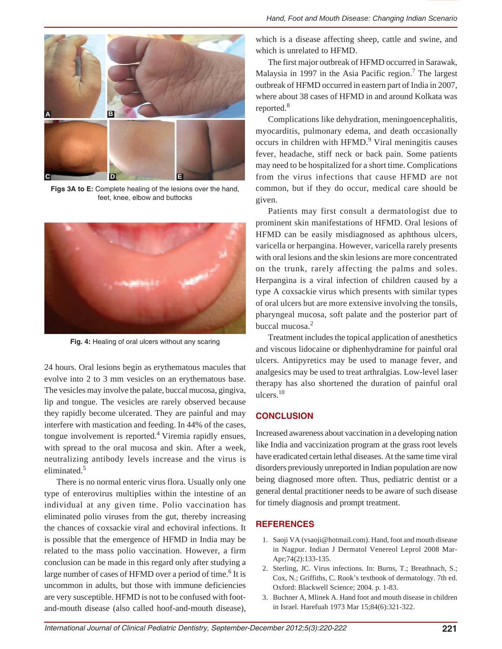

**Figs 3A to E:** Complete healing of the lesions over the hand, feet, knee, elbow and buttocks



**Fig. 4:** Healing of oral ulcers without any scaring

24 hours. Oral lesions begin as erythematous macules that evolve into 2 to 3 mm vesicles on an erythematous base. The vesicles may involve the palate, buccal mucosa, gingiva, lip and tongue. The vesicles are rarely observed because they rapidly become ulcerated. They are painful and may interfere with mastication and feeding. In 44% of the cases, tongue involvement is reported. $4$  Viremia rapidly ensues, with spread to the oral mucosa and skin. After a week, neutralizing antibody levels increase and the virus is eliminated<sup>5</sup>

There is no normal enteric virus flora. Usually only one type of enterovirus multiplies within the intestine of an individual at any given time. Polio vaccination has eliminated polio viruses from the gut, thereby increasing the chances of coxsackie viral and echoviral infections. It is possible that the emergence of HFMD in India may be related to the mass polio vaccination. However, a firm conclusion can be made in this regard only after studying a large number of cases of HFMD over a period of time.<sup>6</sup> It is uncommon in adults, but those with immune deficiencies are very susceptible. HFMD is not to be confused with footand-mouth disease (also called hoof-and-mouth disease),

which is a disease affecting sheep, cattle and swine, and which is unrelated to HFMD.

The first major outbreak of HFMD occurred in Sarawak, Malaysia in 1997 in the Asia Pacific region.<sup>7</sup> The largest outbreak of HFMD occurred in eastern part of India in 2007, where about 38 cases of HFMD in and around Kolkata was reported.<sup>8</sup>

Complications like dehydration, meningoencephalitis, myocarditis, pulmonary edema, and death occasionally occurs in children with HFMD.<sup>9</sup> Viral meningitis causes fever, headache, stiff neck or back pain. Some patients may need to be hospitalized for a short time. Complications from the virus infections that cause HFMD are not common, but if they do occur, medical care should be given.

Patients may first consult a dermatologist due to prominent skin manifestations of HFMD. Oral lesions of HFMD can be easily misdiagnosed as aphthous ulcers, varicella or herpangina. However, varicella rarely presents with oral lesions and the skin lesions are more concentrated on the trunk, rarely affecting the palms and soles. Herpangina is a viral infection of children caused by a type A coxsackie virus which presents with similar types of oral ulcers but are more extensive involving the tonsils, pharyngeal mucosa, soft palate and the posterior part of buccal mucosa.<sup>2</sup>

Treatment includes the topical application of anesthetics and viscous lidocaine or diphenhydramine for painful oral ulcers. Antipyretics may be used to manage fever, and analgesics may be used to treat arthralgias. Low-level laser therapy has also shortened the duration of painful oral ulcers.10

#### **CONCLUSION**

Increased awareness about vaccination in a developing nation like India and vaccinization program at the grass root levels have eradicated certain lethal diseases. At the same time viral disorders previously unreported in Indian population are now being diagnosed more often. Thus, pediatric dentist or a general dental practitioner needs to be aware of such disease for timely diagnosis and prompt treatment.

#### **REFERENCES**

- 1. Saoji VA (vsaoji@hotmail.com). Hand, foot and mouth disease in Nagpur. Indian J Dermatol Venereol Leprol 2008 Mar-Apr;74(2):133-135.
- 2. Sterling, JC. Virus infections. In: Burns, T.; Breathnach, S.; Cox, N.; Griffiths, C. Rook's textbook of dermatology. 7th ed. Oxford: Blackwell Science; 2004. p. 1-83.
- 3. Buchner A, Mlinek A. Hand foot and mouth disease in children in Israel. Harefuah 1973 Mar 15;84(6):321-322.